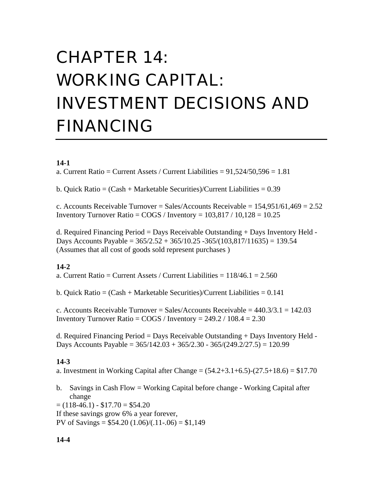# CHAPTER 14: WORKING CAPITAL: INVESTMENT DECISIONS AND FINANCING

### **14-1**

a. Current Ratio = Current Assets / Current Liabilities =  $91,524/50,596 = 1.81$ 

b. Quick Ratio = (Cash + Marketable Securities)/Current Liabilities = 0.39

c. Accounts Receivable Turnover = Sales/Accounts Receivable =  $154,951/61,469 = 2.52$ Inventory Turnover Ratio =  $COGS /$  Inventory =  $103,817 / 10,128 = 10.25$ 

d. Required Financing Period = Days Receivable Outstanding + Days Inventory Held - Days Accounts Payable =  $365/2.52 + 365/10.25 - 365/(103,817/11635) = 139.54$ (Assumes that all cost of goods sold represent purchases )

#### **14-2**

a. Current Ratio = Current Assets / Current Liabilities =  $118/46.1 = 2.560$ 

b. Quick Ratio =  $(Cash + Marketable Securities)/Current Liabilities = 0.141$ 

c. Accounts Receivable Turnover = Sales/Accounts Receivable =  $440.3/3.1 = 142.03$ Inventory Turnover Ratio =  $\text{COGS}$  / Inventory = 249.2 / 108.4 = 2.30

d. Required Financing Period = Days Receivable Outstanding + Days Inventory Held - Days Accounts Payable =  $365/142.03 + 365/2.30 - 365/(249.2/27.5) = 120.99$ 

#### **14-3**

a. Investment in Working Capital after Change =  $(54.2+3.1+6.5)-(27.5+18.6) = $17.70$ 

b. Savings in Cash Flow = Working Capital before change - Working Capital after change  $= (118-46.1) - $17.70 = $54.20$ 

If these savings grow 6% a year forever,

PV of Savings =  $$54.20 (1.06)/(.11-.06) = $1,149$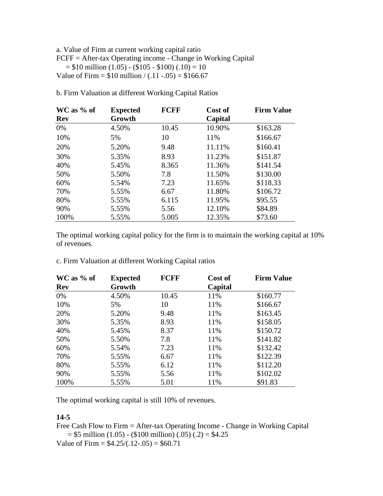#### a. Value of Firm at current working capital ratio FCFF = After-tax Operating income - Change in Working Capital  $= $10$  million  $(1.05) - (1.05 - 10)$   $(0.10) = 10$ Value of Firm =  $$10$  million / (.11 -.05) =  $$166.67$

| WC as % of | <b>Expected</b> | <b>FCFF</b> | Cost of | <b>Firm Value</b> |
|------------|-----------------|-------------|---------|-------------------|
| Rev        | Growth          |             | Capital |                   |
| $0\%$      | 4.50%           | 10.45       | 10.90%  | \$163.28          |
| 10%        | 5%              | 10          | 11%     | \$166.67          |
| 20%        | 5.20%           | 9.48        | 11.11%  | \$160.41          |
| 30%        | 5.35%           | 8.93        | 11.23%  | \$151.87          |
| 40%        | 5.45%           | 8.365       | 11.36%  | \$141.54          |
| 50%        | 5.50%           | 7.8         | 11.50%  | \$130.00          |
| 60%        | 5.54%           | 7.23        | 11.65%  | \$118.33          |
| 70%        | 5.55%           | 6.67        | 11.80%  | \$106.72          |
| 80%        | 5.55%           | 6.115       | 11.95%  | \$95.55           |
| 90%        | 5.55%           | 5.56        | 12.10%  | \$84.89           |
| 100%       | 5.55%           | 5.005       | 12.35%  | \$73.60           |

b. Firm Valuation at different Working Capital Ratios

The optimal working capital policy for the firm is to maintain the working capital at 10% of revenues.

c. Firm Valuation at different Working Capital ratios

| $WC$ as % of | <b>Expected</b> | <b>FCFF</b> | Cost of | <b>Firm Value</b> |
|--------------|-----------------|-------------|---------|-------------------|
| <b>Rev</b>   | Growth          |             | Capital |                   |
| 0%           | 4.50%           | 10.45       | 11%     | \$160.77          |
| 10%          | 5%              | 10          | 11%     | \$166.67          |
| 20%          | 5.20%           | 9.48        | 11%     | \$163.45          |
| 30%          | 5.35%           | 8.93        | 11%     | \$158.05          |
| 40%          | 5.45%           | 8.37        | 11%     | \$150.72          |
| 50%          | 5.50%           | 7.8         | 11%     | \$141.82          |
| 60%          | 5.54%           | 7.23        | 11%     | \$132.42          |
| 70%          | 5.55%           | 6.67        | 11%     | \$122.39          |
| 80%          | 5.55%           | 6.12        | 11%     | \$112.20          |
| 90%          | 5.55%           | 5.56        | 11%     | \$102.02          |
| 100%         | 5.55%           | 5.01        | 11%     | \$91.83           |

The optimal working capital is still 10% of revenues.

#### **14-5**

Free Cash Flow to Firm = After-tax Operating Income - Change in Working Capital  $= $5$  million (1.05) - (\$100 million) (.05) (.2)  $= $4.25$ Value of Firm =  $$4.25/(.12-.05) = $60.71$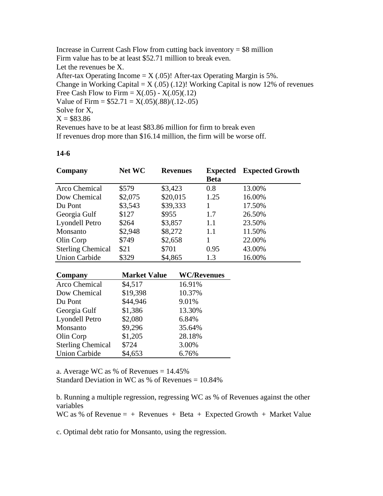Increase in Current Cash Flow from cutting back inventory  $= $8$  million Firm value has to be at least \$52.71 million to break even. Let the revenues be X. After-tax Operating Income  $= X (.05)$ ! After-tax Operating Margin is 5%. Change in Working Capital =  $X(.05)(.12)!$  Working Capital is now 12% of revenues Free Cash Flow to Firm =  $X(.05) - X(.05)(.12)$ Value of Firm =  $$52.71 = X(.05)(.88)/(.12-.05)$ Solve for X,  $X = $83.86$ Revenues have to be at least \$83.86 million for firm to break even If revenues drop more than \$16.14 million, the firm will be worse off.

#### **14-6**

| Company                  | <b>Net WC</b> | <b>Revenues</b> | <b>Expected</b><br><b>Beta</b> | <b>Expected Growth</b> |
|--------------------------|---------------|-----------------|--------------------------------|------------------------|
| Arco Chemical            | \$579         | \$3,423         | 0.8                            | 13.00%                 |
| Dow Chemical             | \$2,075       | \$20,015        | 1.25                           | 16.00%                 |
| Du Pont                  | \$3,543       | \$39,333        |                                | 17.50%                 |
| Georgia Gulf             | \$127         | \$955           | 1.7                            | 26.50%                 |
| Lyondell Petro           | \$264         | \$3,857         | 1.1                            | 23.50%                 |
| Monsanto                 | \$2,948       | \$8,272         | 1.1                            | 11.50%                 |
| Olin Corp                | \$749         | \$2,658         |                                | 22.00%                 |
| <b>Sterling Chemical</b> | \$21          | \$701           | 0.95                           | 43.00%                 |
| <b>Union Carbide</b>     | \$329         | \$4,865         | 1.3                            | 16.00%                 |

| Company                  | <b>Market Value</b> | <b>WC/Revenues</b> |
|--------------------------|---------------------|--------------------|
| Arco Chemical            | \$4,517             | 16.91%             |
| Dow Chemical             | \$19,398            | 10.37%             |
| Du Pont                  | \$44,946            | 9.01%              |
| Georgia Gulf             | \$1,386             | 13.30%             |
| Lyondell Petro           | \$2,080             | 6.84%              |
| Monsanto                 | \$9,296             | 35.64%             |
| Olin Corp                | \$1,205             | 28.18%             |
| <b>Sterling Chemical</b> | \$724               | 3.00%              |
| <b>Union Carbide</b>     | \$4,653             | 6.76%              |

a. Average WC as % of Revenues  $= 14.45\%$ Standard Deviation in WC as % of Revenues  $= 10.84\%$ 

b. Running a multiple regression, regressing WC as % of Revenues against the other variables

WC as % of Revenue  $= +$  Revenues  $+$  Beta  $+$  Expected Growth  $+$  Market Value

c. Optimal debt ratio for Monsanto, using the regression.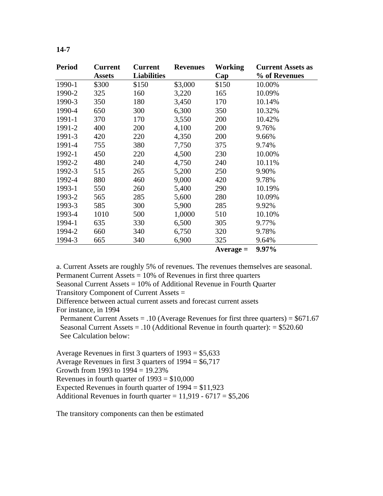| <b>Period</b> | <b>Current</b><br><b>Assets</b> | <b>Current</b><br><b>Liabilities</b> | <b>Revenues</b> | Working<br>Cap | <b>Current Assets as</b><br>% of Revenues |
|---------------|---------------------------------|--------------------------------------|-----------------|----------------|-------------------------------------------|
| 1990-1        | \$300                           | \$150                                | \$3,000         | \$150          | 10.00%                                    |
| 1990-2        | 325                             | 160                                  | 3,220           | 165            | 10.09%                                    |
| 1990-3        | 350                             | 180                                  | 3,450           | 170            | 10.14%                                    |
| 1990-4        | 650                             | 300                                  | 6,300           | 350            | 10.32%                                    |
| 1991-1        | 370                             | 170                                  | 3,550           | 200            | 10.42%                                    |
| 1991-2        | 400                             | 200                                  | 4,100           | 200            | 9.76%                                     |
| 1991-3        | 420                             | 220                                  | 4,350           | 200            | 9.66%                                     |
| 1991-4        | 755                             | 380                                  | 7,750           | 375            | 9.74%                                     |
| 1992-1        | 450                             | 220                                  | 4,500           | 230            | 10.00%                                    |
| 1992-2        | 480                             | 240                                  | 4,750           | 240            | 10.11%                                    |
| 1992-3        | 515                             | 265                                  | 5,200           | 250            | 9.90%                                     |
| 1992-4        | 880                             | 460                                  | 9,000           | 420            | 9.78%                                     |
| 1993-1        | 550                             | 260                                  | 5,400           | 290            | 10.19%                                    |
| 1993-2        | 565                             | 285                                  | 5,600           | 280            | 10.09%                                    |
| 1993-3        | 585                             | 300                                  | 5,900           | 285            | 9.92%                                     |
| 1993-4        | 1010                            | 500                                  | 1,0000          | 510            | 10.10%                                    |
| 1994-1        | 635                             | 330                                  | 6,500           | 305            | 9.77%                                     |
| 1994-2        | 660                             | 340                                  | 6,750           | 320            | 9.78%                                     |
| 1994-3        | 665                             | 340                                  | 6,900           | 325            | 9.64%                                     |
|               |                                 |                                      |                 | $Average =$    | 9.97%                                     |

a. Current Assets are roughly 5% of revenues. The revenues themselves are seasonal. Permanent Current Assets = 10% of Revenues in first three quarters

Seasonal Current Assets = 10% of Additional Revenue in Fourth Quarter

Transitory Component of Current Assets =

Difference between actual current assets and forecast current assets For instance, in 1994

Permanent Current Assets = .10 (Average Revenues for first three quarters) =  $$671.67$  Seasonal Current Assets = .10 (Additional Revenue in fourth quarter): = \$520.60 See Calculation below:

Average Revenues in first 3 quarters of 1993 = \$5,633 Average Revenues in first 3 quarters of  $1994 = $6,717$ Growth from 1993 to  $1994 = 19.23\%$ Revenues in fourth quarter of  $1993 = $10,000$ Expected Revenues in fourth quarter of  $1994 = $11,923$ Additional Revenues in fourth quarter =  $11,919 - 6717 = $5,206$ 

The transitory components can then be estimated

#### **14-7**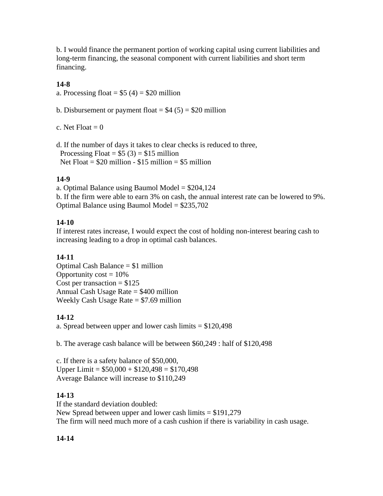b. I would finance the permanent portion of working capital using current liabilities and long-term financing, the seasonal component with current liabilities and short term financing.

# **14-8**

a. Processing float =  $$5 (4) = $20$  million

b. Disbursement or payment float =  $$4 (5) = $20$  million

c. Net  $F$ loat  $= 0$ 

d. If the number of days it takes to clear checks is reduced to three, Processing Float =  $$5 (3) = $15$  million Net  $Float = $20$  million - \$15 million = \$5 million

# **14-9**

a. Optimal Balance using Baumol Model  $= $204,124$ b. If the firm were able to earn 3% on cash, the annual interest rate can be lowered to 9%. Optimal Balance using Baumol Model = \$235,702

# **14-10**

If interest rates increase, I would expect the cost of holding non-interest bearing cash to increasing leading to a drop in optimal cash balances.

# **14-11**

Optimal Cash Balance = \$1 million Opportunity  $cost = 10\%$ Cost per transaction  $= $125$ Annual Cash Usage Rate = \$400 million Weekly Cash Usage Rate  $= $7.69$  million

# **14-12**

a. Spread between upper and lower cash limits = \$120,498

b. The average cash balance will be between \$60,249 : half of \$120,498

c. If there is a safety balance of \$50,000, Upper Limit =  $$50,000 + $120,498 = $170,498$ Average Balance will increase to \$110,249

# **14-13**

If the standard deviation doubled: New Spread between upper and lower cash limits  $= $191,279$ The firm will need much more of a cash cushion if there is variability in cash usage.

# **14-14**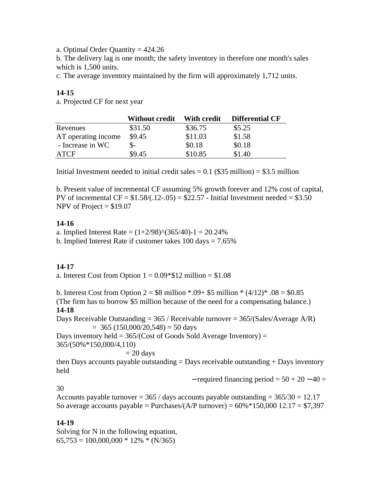a. Optimal Order Quantity = 424.26

b. The delivery lag is one month; the safety inventory in therefore one month's sales which is 1,500 units.

c. The average inventory maintained by the firm will approximately 1,712 units.

# **14-15**

a. Projected CF for next year

|                     | Without credit | With credit | <b>Differential CF</b> |
|---------------------|----------------|-------------|------------------------|
| Revenues            | \$31.50        | \$36.75     | \$5.25                 |
| AT operating income | \$9.45         | \$11.03     | \$1.58                 |
| - Increase in WC    |                | \$0.18      | \$0.18                 |
| ATCF                | \$9.45         | \$10.85     | \$1.40                 |

Initial Investment needed to initial credit sales  $= 0.1$  (\$35 million)  $= $3.5$  million

b. Present value of incremental CF assuming 5% growth forever and 12% cost of capital, PV of incremental  $CF = $1.58/(0.12-0.05) = $22.57$  - Initial Investment needed  $= $3.50$ NPV of Project  $= $19.07$ 

# **14-16**

a. Implied Interest Rate =  $(1+2/98)$ <sup> $\land$ </sup> $(365/40)$ -1 = 20.24% b. Implied Interest Rate if customer takes 100 days = 7.65%

# **14-17**

a. Interest Cost from Option  $1 = 0.09*$12 million = $1.08$ 

b. Interest Cost from Option  $2 = $8$  million  $* .09 + $5$  million  $* (4/12)* .08 = $0.85$ (The firm has to borrow \$5 million because of the need for a compensating balance.) **14-18**

Days Receivable Outstanding =  $365$  / Receivable turnover =  $365$ /(Sales/Average A/R)  $=$  365 (150,000/20,548)  $=$  50 days

Days inventory held =  $365/(Cost of Goods Sold Average Inventory) =$ 365/(50%\*150,000/4,110)

$$
= 20 \ \mathrm{days}
$$

then Days accounts payable outstanding  $=$  Days receivable outstanding  $+$  Days inventory held

 $-$  required financing period =  $50 + 20 - 40 =$ 

30

Accounts payable turnover =  $365 /$  days accounts payable outstanding =  $365/30 = 12.17$ So average accounts payable = Purchases/(A/P turnover) =  $60\% * 150,000$  12.17 = \$7,397

# **14-19**

Solving for N in the following equation,  $65,753 = 100,000,000 * 12\% * (N/365)$